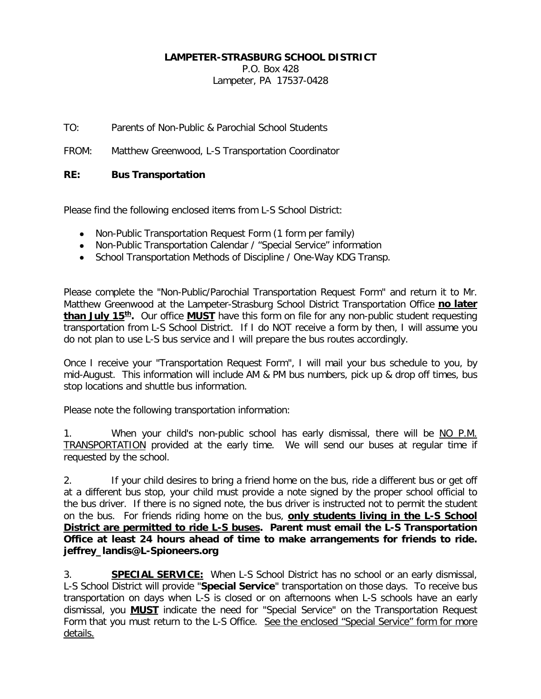## **LAMPETER-STRASBURG SCHOOL DISTRICT**

P.O. Box 428

Lampeter, PA 17537-0428

TO: Parents of Non-Public & Parochial School Students

FROM: Matthew Greenwood, L-S Transportation Coordinator

## **RE: Bus Transportation**

Please find the following enclosed items from L-S School District:

- Non-Public Transportation Request Form (1 form per family)
- Non-Public Transportation Calendar / "Special Service" information
- School Transportation Methods of Discipline / One-Way KDG Transp.

Please complete the "Non-Public/Parochial Transportation Request Form" and return it to Mr. Matthew Greenwood at the Lampeter-Strasburg School District Transportation Office **no later than July 15<sup>th</sup>.** Our office **MUST** have this form on file for any non-public student requesting transportation from L-S School District. If I do NOT receive a form by then, I will assume you do not plan to use L-S bus service and I will prepare the bus routes accordingly.

Once I receive your "Transportation Request Form", I will mail your bus schedule to you, by mid-August. This information will include AM & PM bus numbers, pick up & drop off times, bus stop locations and shuttle bus information.

Please note the following transportation information:

1. When your child's non-public school has early dismissal, there will be NO P.M. TRANSPORTATION provided at the early time. We will send our buses at regular time if requested by the school.

2. If your child desires to bring a friend home on the bus, ride a different bus or get off at a different bus stop, your child must provide a note signed by the proper school official to the bus driver. If there is no signed note, the bus driver is instructed not to permit the student on the bus. For friends riding home on the bus, **only students living in the L-S School District are permitted to ride L-S buses. Parent must email the L-S Transportation Office at least 24 hours ahead of time to make arrangements for friends to ride. jeffrey\_landis@L-Spioneers.org**

3. **SPECIAL SERVICE:** When L-S School District has no school or an early dismissal, L-S School District will provide "**Special Service**" transportation on those days. To receive bus transportation on days when L-S is closed or on afternoons when L-S schools have an early dismissal, you **MUST** indicate the need for "Special Service" on the Transportation Request Form that you must return to the L-S Office. See the enclosed "Special Service" form for more details.